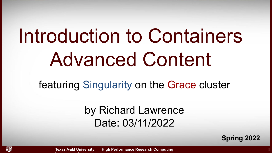# Introduction to Containers Advanced Content

featuring Singularity on the Grace cluster

by Richard Lawrence Date: 03/11/2022

**Spring 2022**

**1**

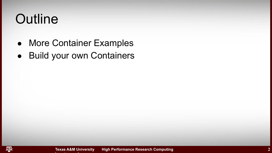### **Outline**

- More Container Examples
- Build your own Containers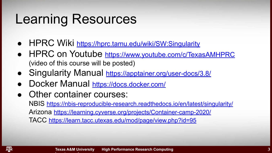#### Learning Resources

- HPRC Wiki <https://hprc.tamu.edu/wiki/SW:Singularity>
- HPRC on Youtube <https://www.youtube.com/c/TexasAMHPRC> (video of this course will be posted)
- Singularity Manual <https://apptainer.org/user-docs/3.8/>
- Docker Manual <https://docs.docker.com/>
- Other container courses:

**hprc.tamu.edu**

NBIS <https://nbis-reproducible-research.readthedocs.io/en/latest/singularity/> Arizona <https://learning.cyverse.org/projects/Container-camp-2020/> TACC <https://learn.tacc.utexas.edu/mod/page/view.php?id=95>

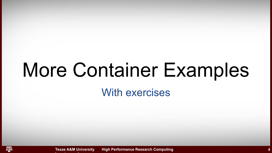## More Container Examples

#### With exercises

**Texas A&M University High Performance Research Computing** 

**hprc.tamu.edu**

ᄺ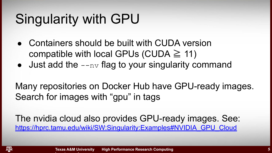## Singularity with GPU

**hprc.tamu.edu**

- Containers should be built with CUDA version compatible with local GPUs (CUDA  $\geq$  11)
- $\bullet$  Just add the  $\text{-}$ nv flag to your singularity command

Many repositories on Docker Hub have GPU-ready images. Search for images with "gpu" in tags

The nvidia cloud also provides GPU-ready images. See: [https://hprc.tamu.edu/wiki/SW:Singularity:Examples#NVIDIA\\_GPU\\_Cloud](https://hprc.tamu.edu/wiki/SW:Singularity:Examples#NVIDIA_GPU_Cloud)

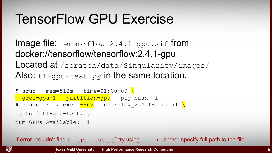#### TensorFlow GPU Exercise

Image file:  $tensorflow$  2.4.1-gpu.sif from docker://tensorflow/tensorflow:2.4.1-gpu Located at /scratch/data/Singularity/images/ Also:  $tf-qpu-test.py$  in the same location.

```
$ srun --mem=512m --time=01:00:00 \
--gres=gpu:1 --partition=gpu --pty bash -i
\frac{2}{5} singularity exec \frac{1}{2} -nv tensorflow 2.4.1-gpu.sif \frac{1}{2}python3 tf-gpu-test.py
Num GPUs Available: 1
```
**hprc.tamu.edu**

If error "couldn't find  $tf-qpu-test.py''$  try using  $-bind$  and/or specify full path to the file.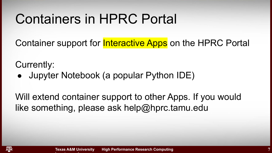#### Containers in HPRC Portal

Container support for **Interactive Apps** on the HPRC Portal

Currently:

• Jupyter Notebook (a popular Python IDE)

Will extend container support to other Apps. If you would like something, please ask help@hprc.tamu.edu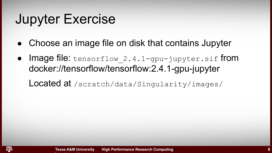#### Jupyter Exercise

**hprc.tamu.edu**

ĀМ

- Choose an image file on disk that contains Jupyter
- Image file:  $tensorflow$  2.4.1-gpu-jupyter.sif from docker://tensorflow/tensorflow:2.4.1-gpu-jupyter

Located at /scratch/data/Singularity/images/

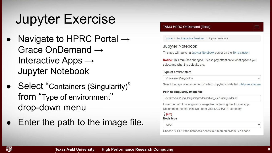#### Jupyter Exercise

- Navigate to HPRC Portal  $\rightarrow$ Grace OnDemand → Interactive Apps  $\rightarrow$ Jupyter Notebook
- Select "Containers (Singularity)" from "Type of environment" drop-down menu

**hprc.tamu.edu**

Enter the path to the image file.

#### **TAMU HPRC OnDemand (Terra)**

Home / My Interactive Sessions / Jupyter Notebook

#### **Jupyter Notebook**

This app will launch a Jupyter Notebook server on the Terra cluster.

Notice: This form has changed. Please pay attention to what options you select and what the defaults are

#### Type of environment

Containers (Singularity)

Select the type of environment in which Jupyter is installed. Help me choose

#### Path to singularity image file

/scratch/data/Singularity/images/tensorflow 2.4.1-gpu-jupyter.sif

Enter the path to a singularity image file containing the Jupyter app. Recommended that this live under your \$SCRATCH directory.

#### $(etc)$

#### Node type

GPU

Choose "GPU" if the notebook needs to run on an Nvidia GPU node.

ĀМ

**9**

 $\equiv$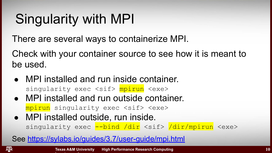## Singularity with MPI

**hprc.tamu.edu**

There are several ways to containerize MPI.

Check with your container source to see how it is meant to be used.

- MPI installed and run inside container. singularity exec <sif>  $mpirun$  <exe>
- MPI installed and run outside container. mpirun singularity exec <sif> <exe>
- MPI installed outside, run inside. singularity exec --bind /dir <sif> /dir/mpirun <exe>

See<https://sylabs.io/guides/3.7/user-guide/mpi.html>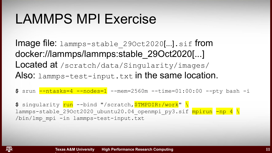### LAMMPS MPI Exercise

**hprc.tamu.edu**

λ∏м

Image file: lammps-stable 290ct2020[...].sif from docker://lammps/lammps:stable\_29Oct2020[...] Located at /scratch/data/Singularity/images/ Also: lammps-test-input.txt in the same location.

**\$** srun --ntasks=4 --nodes=1 --mem=2560m --time=01:00:00 --pty bash -i

\$ singularity **run** --bind "/scratch, STMPDIR:/work" \ lammps-stable 29Oct2020 ubuntu20.04 openmpi py3.sif mpirun -np 4 \ /bin/lmp\_mpi -in lammps-test-input.txt

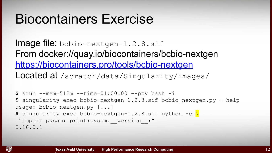#### Biocontainers Exercise

**hprc.tamu.edu**

ĀМ

Image file: bcbio-nextgen-1.2.8.sif From docker://quay.io/biocontainers/bcbio-nextgen <https://biocontainers.pro/tools/bcbio-nextgen> Located at /scratch/data/Singularity/images/

**\$** srun --mem=512m --time=01:00:00 --pty bash -i **\$** singularity exec bcbio-nextgen-1.2.8.sif bcbio\_nextgen.py --help usage: bcbio nextgen.py [...] **\$** singularity exec bcbio-nextgen-1.2.8.sif python -c \ "import pysam; print(pysam. version )" 0.16.0.1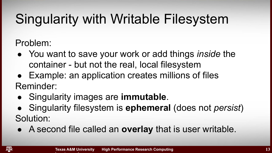## Singularity with Writable Filesystem

Problem:

- You want to save your work or add things *inside* the container - but not the real, local filesystem
- Example: an application creates millions of files Reminder:
- Singularity images are **immutable**.

- Singularity filesystem is **ephemeral** (does not *persist*) Solution:
- A second file called an **overlay** that is user writable.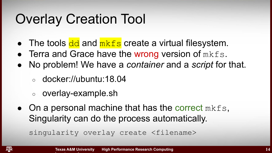### Overlay Creation Tool

- The tools  $\frac{dd}{d}$  and  $\frac{mkfs}{m}$  create a virtual filesystem.
- $\bullet$  Terra and Grace have the wrong version of  $mkfs$ .
- No problem! We have a *container* and a *script* for that.
	- docker://ubuntu:18.04
	- overlay-example.sh

**hprc.tamu.edu**

 $\bullet$  On a personal machine that has the correct mkfs, Singularity can do the process automatically.

```
singularity overlay create <filename>
```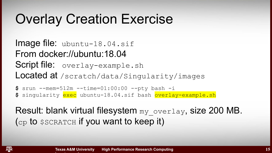### Overlay Creation Exercise

Image file: ubuntu-18.04.sif From docker://ubuntu:18.04 Script file: overlay-example.sh Located at /scratch/data/Singularity/images

**\$** srun --mem=512m --time=01:00:00 --pty bash -i **\$** singularity exec ubuntu-18.04.sif bash overlay-example.sh

Result: blank virtual filesystem my overlay, size 200 MB. (cp to \$SCRATCH if you want to keep it)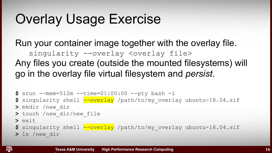### Overlay Usage Exercise

**hprc.tamu.edu**

A**T**<sub>M</sub>

Run your container image together with the overlay file. singularity --overlay <overlay file> Any files you create (outside the mounted filesystems) will go in the overlay file virtual filesystem and *persist*.

```
$ srun --mem=512m --time=01:00:00 --pty bash -i
$ singularity shell --overlay /path/to/my_overlay ubuntu-18.04.sif
> mkdir /new_dir
> touch /new_dir/new_file
> exit
$ singularity shell --overlay /path/to/my_overlay ubuntu-18.04.sif
> ls /new_dir
```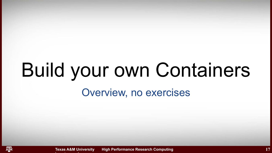# Build your own Containers

#### Overview, no exercises

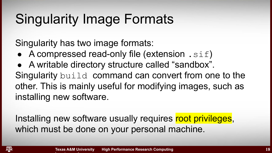### Singularity Image Formats

Singularity has two image formats:

**hprc.tamu.edu**

- A compressed read-only file (extension  $\cdot$  sif)
- A writable directory structure called "sandbox".

Singularity build command can convert from one to the other. This is mainly useful for modifying images, such as installing new software.

Installing new software usually requires root privileges, which must be done on your personal machine.

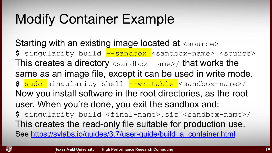### Modify Container Example

Starting with an existing image located at  $\langle$ source> **\$** singularity build --sandbox <sandbox-name> <source> This creates a directory <sandbox-name>/ that works the same as an image file, except it can be used in write mode. **\$** sudo singularity shell --writable <sandbox-name>/ Now you install software in the root directories, as the root user. When you're done, you exit the sandbox and: **\$** singularity build <final-name>.sif <sandbox-name>/ This creates the read-only file suitable for production use. See https://sylabs.io/guides/3.7/user-guide/build a container.html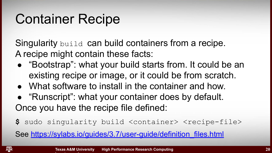### Container Recipe

**hprc.tamu.edu**

Singularity build can build containers from a recipe. A recipe might contain these facts:

- "Bootstrap": what your build starts from. It could be an existing recipe or image, or it could be from scratch.
- What software to install in the container and how.
- "Runscript": what your container does by default. Once you have the recipe file defined:
- **\$** sudo singularity build <container> <recipe-file>

See [https://sylabs.io/guides/3.7/user-guide/definition\\_files.html](https://sylabs.io/guides/3.7/user-guide/definition_files.html)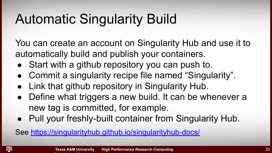## Automatic Singularity Build

You can create an account on Singularity Hub and use it to automatically build and publish your containers.

- Start with a github repository you can push to.
- Commit a singularity recipe file named "Singularity".
- Link that github repository in Singularity Hub.
- Define what triggers a new build. It can be whenever a new tag is committed, for example.
- Pull your freshly-built container from Singularity Hub.

See <https://singularityhub.github.io/singularityhub-docs/>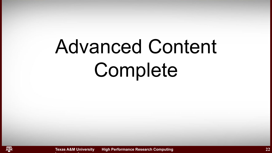# Advanced Content Complete

**hprc.tamu.edu**

ᄴ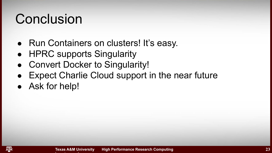#### **Conclusion**

- Run Containers on clusters! It's easy.
- HPRC supports Singularity

**hprc.tamu.edu**

- Convert Docker to Singularity!
- Expect Charlie Cloud support in the near future
- Ask for help!

λ[м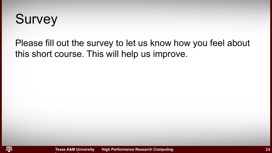#### **Survey**

Please fill out the survey to let us know how you feel about this short course. This will help us improve.

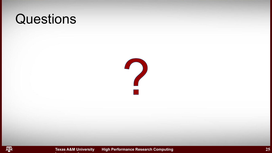#### **Questions**





**Texas A&M University High Performance Research Computing**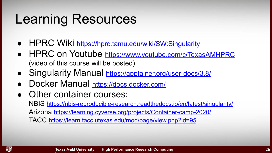#### Learning Resources

- HPRC Wiki <https://hprc.tamu.edu/wiki/SW:Singularity>
- HPRC on Youtube <https://www.youtube.com/c/TexasAMHPRC> (video of this course will be posted)
- Singularity Manual <https://apptainer.org/user-docs/3.8/>
- Docker Manual <https://docs.docker.com/>
- Other container courses:

**hprc.tamu.edu**

NBIS <https://nbis-reproducible-research.readthedocs.io/en/latest/singularity/> Arizona <https://learning.cyverse.org/projects/Container-camp-2020/> TACC <https://learn.tacc.utexas.edu/mod/page/view.php?id=95>